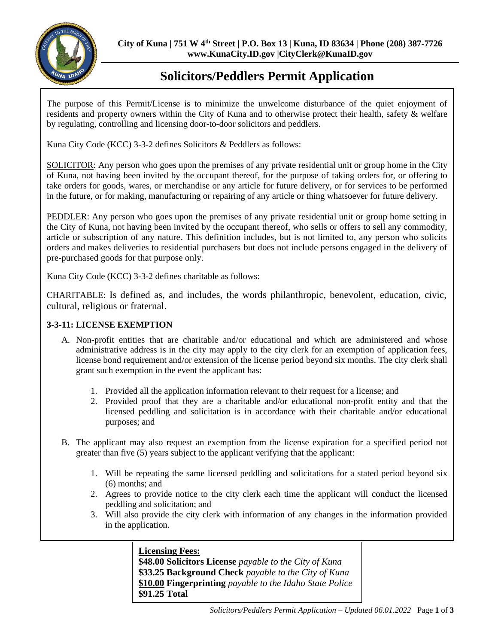

# **Solicitors/Peddlers Permit Application**

The purpose of this Permit/License is to minimize the unwelcome disturbance of the quiet enjoyment of residents and property owners within the City of Kuna and to otherwise protect their health, safety & welfare by regulating, controlling and licensing door-to-door solicitors and peddlers.

Kuna City Code (KCC) 3-3-2 defines Solicitors & Peddlers as follows:

SOLICITOR: Any person who goes upon the premises of any private residential unit or group home in the City of Kuna, not having been invited by the occupant thereof, for the purpose of taking orders for, or offering to take orders for goods, wares, or merchandise or any article for future delivery, or for services to be performed in the future, or for making, manufacturing or repairing of any article or thing whatsoever for future delivery.

PEDDLER: Any person who goes upon the premises of any private residential unit or group home setting in the City of Kuna, not having been invited by the occupant thereof, who sells or offers to sell any commodity, article or subscription of any nature. This definition includes, but is not limited to, any person who solicits orders and makes deliveries to residential purchasers but does not include persons engaged in the delivery of pre-purchased goods for that purpose only.

Kuna City Code (KCC) 3-3-2 defines charitable as follows:

CHARITABLE: Is defined as, and includes, the words philanthropic, benevolent, education, civic, cultural, religious or fraternal.

## **3-3-11: LICENSE EXEMPTION**

- A. Non-profit entities that are charitable and/or educational and which are administered and whose administrative address is in the city may apply to the city clerk for an exemption of application fees, license bond requirement and/or extension of the license period beyond six months. The city clerk shall grant such exemption in the event the applicant has:
	- 1. Provided all the application information relevant to their request for a license; and
	- 2. Provided proof that they are a charitable and/or educational non-profit entity and that the licensed peddling and solicitation is in accordance with their charitable and/or educational purposes; and
- B. The applicant may also request an exemption from the license expiration for a specified period not greater than five (5) years subject to the applicant verifying that the applicant:
	- 1. Will be repeating the same licensed peddling and solicitations for a stated period beyond six (6) months; and
	- 2. Agrees to provide notice to the city clerk each time the applicant will conduct the licensed peddling and solicitation; and
	- 3. Will also provide the city clerk with information of any changes in the information provided in the application.

## **Licensing Fees:**

**\$48.00 Solicitors License** *payable to the City of Kuna*  **\$33.25 Background Check** *payable to the City of Kuna*  **\$10.00 Fingerprinting** *payable to the Idaho State Police*  **\$91.25 Total**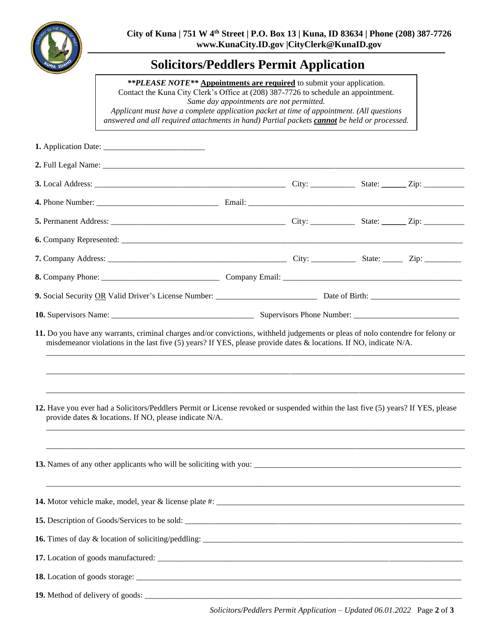

## **Solicitors/Peddlers Permit Application**

*\*\*PLEASE NOTE\*\** **Appointments are required** to submit your application. Contact the Kuna City Clerk's Office at (208) 387-7726 to schedule an appointment*. Same day appointments are not permitted. Applicant must have a complete application packet at time of appointment. (All questions answered and all required attachments in hand) Partial packets cannot be held or processed.*

| misdemeanor violations in the last five (5) years? If YES, please provide dates & locations. If NO, indicate $N/A$ .<br>12. Have you ever had a Solicitors/Peddlers Permit or License revoked or suspended within the last five (5) years? If YES, please<br>provide dates & locations. If NO, please indicate N/A. |  |  |  |  |  |
|---------------------------------------------------------------------------------------------------------------------------------------------------------------------------------------------------------------------------------------------------------------------------------------------------------------------|--|--|--|--|--|
|                                                                                                                                                                                                                                                                                                                     |  |  |  |  |  |
| 14. Motor vehicle make, model, year & license plate #: _____                                                                                                                                                                                                                                                        |  |  |  |  |  |
|                                                                                                                                                                                                                                                                                                                     |  |  |  |  |  |
|                                                                                                                                                                                                                                                                                                                     |  |  |  |  |  |
|                                                                                                                                                                                                                                                                                                                     |  |  |  |  |  |
|                                                                                                                                                                                                                                                                                                                     |  |  |  |  |  |
|                                                                                                                                                                                                                                                                                                                     |  |  |  |  |  |